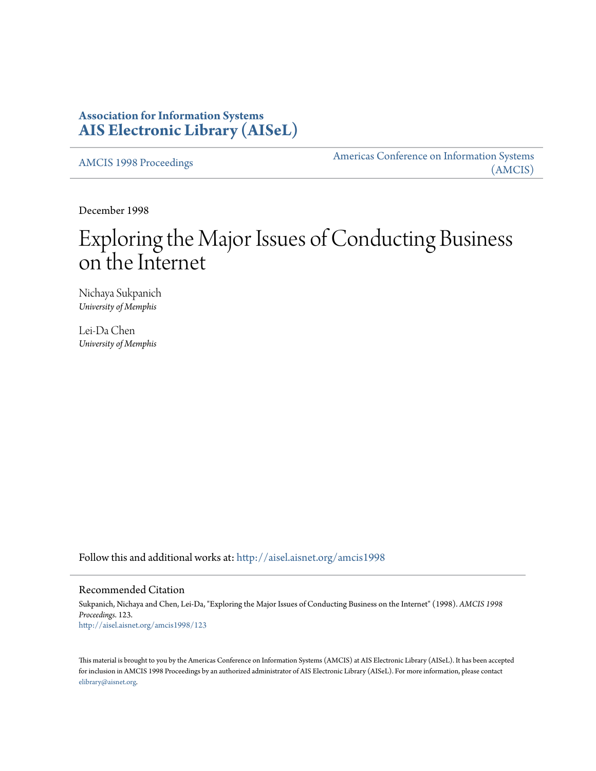# **Association for Information Systems [AIS Electronic Library \(AISeL\)](http://aisel.aisnet.org?utm_source=aisel.aisnet.org%2Famcis1998%2F123&utm_medium=PDF&utm_campaign=PDFCoverPages)**

[AMCIS 1998 Proceedings](http://aisel.aisnet.org/amcis1998?utm_source=aisel.aisnet.org%2Famcis1998%2F123&utm_medium=PDF&utm_campaign=PDFCoverPages)

[Americas Conference on Information Systems](http://aisel.aisnet.org/amcis?utm_source=aisel.aisnet.org%2Famcis1998%2F123&utm_medium=PDF&utm_campaign=PDFCoverPages) [\(AMCIS\)](http://aisel.aisnet.org/amcis?utm_source=aisel.aisnet.org%2Famcis1998%2F123&utm_medium=PDF&utm_campaign=PDFCoverPages)

December 1998

# Exploring the Major Issues of Conducting Business on the Internet

Nichaya Sukpanich *University of Memphis*

Lei-Da Chen *University of Memphis*

Follow this and additional works at: [http://aisel.aisnet.org/amcis1998](http://aisel.aisnet.org/amcis1998?utm_source=aisel.aisnet.org%2Famcis1998%2F123&utm_medium=PDF&utm_campaign=PDFCoverPages)

## Recommended Citation

Sukpanich, Nichaya and Chen, Lei-Da, "Exploring the Major Issues of Conducting Business on the Internet" (1998). *AMCIS 1998 Proceedings*. 123. [http://aisel.aisnet.org/amcis1998/123](http://aisel.aisnet.org/amcis1998/123?utm_source=aisel.aisnet.org%2Famcis1998%2F123&utm_medium=PDF&utm_campaign=PDFCoverPages)

This material is brought to you by the Americas Conference on Information Systems (AMCIS) at AIS Electronic Library (AISeL). It has been accepted for inclusion in AMCIS 1998 Proceedings by an authorized administrator of AIS Electronic Library (AISeL). For more information, please contact [elibrary@aisnet.org.](mailto:elibrary@aisnet.org%3E)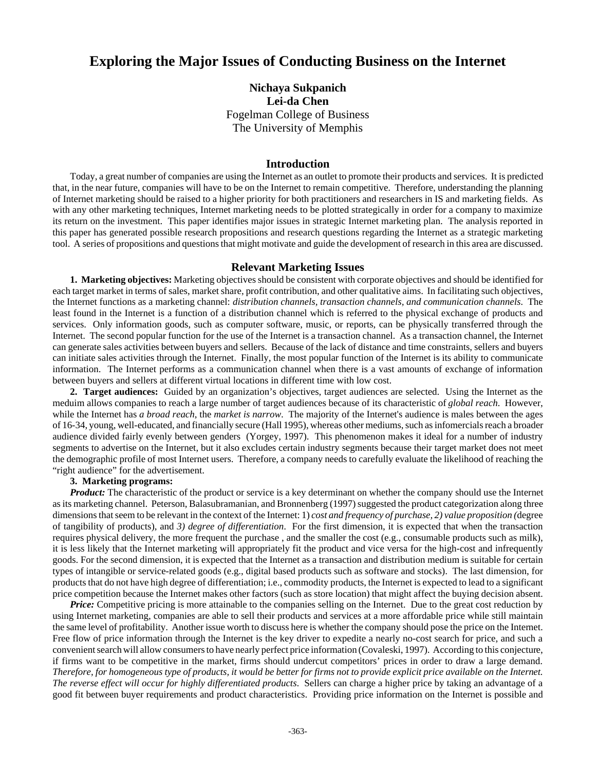# **Exploring the Major Issues of Conducting Business on the Internet**

**Nichaya Sukpanich Lei-da Chen** Fogelman College of Business The University of Memphis

#### **Introduction**

Today, a great number of companies are using the Internet as an outlet to promote their products and services. It is predicted that, in the near future, companies will have to be on the Internet to remain competitive. Therefore, understanding the planning of Internet marketing should be raised to a higher priority for both practitioners and researchers in IS and marketing fields. As with any other marketing techniques, Internet marketing needs to be plotted strategically in order for a company to maximize its return on the investment. This paper identifies major issues in strategic Internet marketing plan. The analysis reported in this paper has generated possible research propositions and research questions regarding the Internet as a strategic marketing tool. A series of propositions and questions that might motivate and guide the development of research in this area are discussed.

## **Relevant Marketing Issues**

**1. Marketing objectives:** Marketing objectives should be consistent with corporate objectives and should be identified for each target market in terms of sales, market share, profit contribution, and other qualitative aims. In facilitating such objectives, the Internet functions as a marketing channel: *distribution channels, transaction channels, and communication channels*. The least found in the Internet is a function of a distribution channel which is referred to the physical exchange of products and services. Only information goods, such as computer software, music, or reports, can be physically transferred through the Internet. The second popular function for the use of the Internet is a transaction channel. As a transaction channel, the Internet can generate sales activities between buyers and sellers. Because of the lack of distance and time constraints, sellers and buyers can initiate sales activities through the Internet. Finally, the most popular function of the Internet is its ability to communicate information. The Internet performs as a communication channel when there is a vast amounts of exchange of information between buyers and sellers at different virtual locations in different time with low cost.

**2. Target audiences:** Guided by an organization's objectives, target audiences are selected. Using the Internet as the meduim allows companies to reach a large number of target audiences because of its characteristic of *global reach*. However, while the Internet has *a broad reach*, the *market is narrow*. The majority of the Internet's audience is males between the ages of 16-34, young, well-educated, and financially secure (Hall 1995), whereas other mediums, such as infomercials reach a broader audience divided fairly evenly between genders (Yorgey, 1997). This phenomenon makes it ideal for a number of industry segments to advertise on the Internet, but it also excludes certain industry segments because their target market does not meet the demographic profile of most Internet users. Therefore, a company needs to carefully evaluate the likelihood of reaching the "right audience" for the advertisement.

### **3. Marketing programs:**

*Product:* The characteristic of the product or service is a key determinant on whether the company should use the Internet as its marketing channel. Peterson, Balasubramanian, and Bronnenberg (1997) suggested the product categorization along three dimensions that seem to be relevant in the context of the Internet: 1) *cost and frequency of purchase, 2) value proposition (*degree of tangibility of products), and *3) degree of differentiation*. For the first dimension, it is expected that when the transaction requires physical delivery, the more frequent the purchase , and the smaller the cost (e.g., consumable products such as milk), it is less likely that the Internet marketing will appropriately fit the product and vice versa for the high-cost and infrequently goods. For the second dimension, it is expected that the Internet as a transaction and distribution medium is suitable for certain types of intangible or service-related goods (e.g., digital based products such as software and stocks). The last dimension, for products that do not have high degree of differentiation; i.e., commodity products, the Internet is expected to lead to a significant price competition because the Internet makes other factors (such as store location) that might affect the buying decision absent.

*Price:* Competitive pricing is more attainable to the companies selling on the Internet. Due to the great cost reduction by using Internet marketing, companies are able to sell their products and services at a more affordable price while still maintain the same level of profitability. Another issue worth to discuss here is whether the company should pose the price on the Internet. Free flow of price information through the Internet is the key driver to expedite a nearly no-cost search for price, and such a convenient search will allow consumers to have nearly perfect price information (Covaleski, 1997). According to this conjecture, if firms want to be competitive in the market, firms should undercut competitors' prices in order to draw a large demand. *Therefore, for homogeneous type of products, it would be better for firms not to provide explicit price available on the Internet. The reverse effect will occur for highly differentiated products*. Sellers can charge a higher price by taking an advantage of a good fit between buyer requirements and product characteristics. Providing price information on the Internet is possible and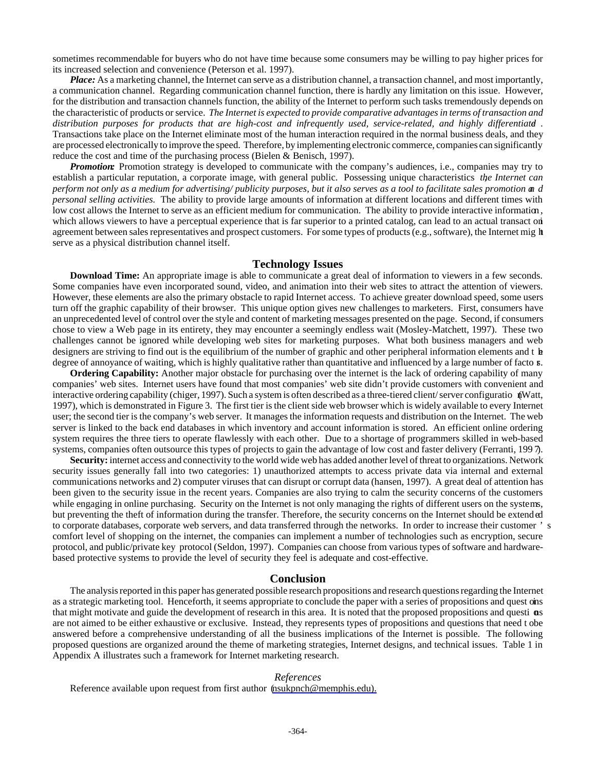sometimes recommendable for buyers who do not have time because some consumers may be willing to pay higher prices for its increased selection and convenience (Peterson et al. 1997).

*Place:* As a marketing channel, the Internet can serve as a distribution channel, a transaction channel, and most importantly, a communication channel. Regarding communication channel function, there is hardly any limitation on this issue. However, for the distribution and transaction channels function, the ability of the Internet to perform such tasks tremendously depends on the characteristic of products or service. *The Internet is expected to provide comparative advantages in terms of transaction and distribution purposes for products that are high-cost and infrequently used, service-related, and highly differentiated* . Transactions take place on the Internet eliminate most of the human interaction required in the normal business deals, and they are processed electronically to improve the speed. Therefore, by implementing electronic commerce, companies can significantly reduce the cost and time of the purchasing process (Bielen & Benisch, 1997).

*Promotion:* Promotion strategy is developed to communicate with the company's audiences, i.e., companies may try to establish a particular reputation, a corporate image, with general public. Possessing unique characteristics *the Internet can perform not only as a medium for advertising/ publicity purposes, but it also serves as a tool to facilitate sales promotion an d personal selling activities.* The ability to provide large amounts of information at different locations and different times with low cost allows the Internet to serve as an efficient medium for communication. The ability to provide interactive information, which allows viewers to have a perceptual experience that is far superior to a printed catalog, can lead to an actual transact on agreement between sales representatives and prospect customers. For some types of products (e.g., software), the Internet mig ht serve as a physical distribution channel itself.

#### **Technology Issues**

**Download Time:** An appropriate image is able to communicate a great deal of information to viewers in a few seconds. Some companies have even incorporated sound, video, and animation into their web sites to attract the attention of viewers. However, these elements are also the primary obstacle to rapid Internet access. To achieve greater download speed, some users turn off the graphic capability of their browser. This unique option gives new challenges to marketers. First, consumers have an unprecedented level of control over the style and content of marketing messages presented on the page. Second, if consumers chose to view a Web page in its entirety, they may encounter a seemingly endless wait (Mosley-Matchett, 1997). These two challenges cannot be ignored while developing web sites for marketing purposes. What both business managers and web designers are striving to find out is the equilibrium of the number of graphic and other peripheral information elements and t **h** degree of annoyance of waiting, which is highly qualitative rather than quantitative and influenced by a large number of facto  $\kappa$ .

**Ordering Capability:** Another major obstacle for purchasing over the internet is the lack of ordering capability of many companies' web sites. Internet users have found that most companies' web site didn't provide customers with convenient and interactive ordering capability (chiger, 1997). Such a system is often described as a three-tiered client/ server configuratio (Watt, 1997), which is demonstrated in Figure 3. The first tier is the client side web browser which is widely available to every Internet user; the second tier is the company's web server. It manages the information requests and distribution on the Internet. The web server is linked to the back end databases in which inventory and account information is stored. An efficient online ordering system requires the three tiers to operate flawlessly with each other. Due to a shortage of programmers skilled in web-based systems, companies often outsource this types of projects to gain the advantage of low cost and faster delivery (Ferranti, 1997).

**Security:** internet access and connectivity to the world wide web has added another level of threat to organizations. Network security issues generally fall into two categories: 1) unauthorized attempts to access private data via internal and external communications networks and 2) computer viruses that can disrupt or corrupt data (hansen, 1997). A great deal of attention has been given to the security issue in the recent years. Companies are also trying to calm the security concerns of the customers while engaging in online purchasing. Security on the Internet is not only managing the rights of different users on the systems, but preventing the theft of information during the transfer. Therefore, the security concerns on the Internet should be extended to corporate databases, corporate web servers, and data transferred through the networks. In order to increase their customer ' s comfort level of shopping on the internet, the companies can implement a number of technologies such as encryption, secure protocol, and public/private key protocol (Seldon, 1997). Companies can choose from various types of software and hardwarebased protective systems to provide the level of security they feel is adequate and cost-effective.

#### **Conclusion**

The analysis reported in this paper has generated possible research propositions and research questions regarding the Internet as a strategic marketing tool. Henceforth, it seems appropriate to conclude the paper with a series of propositions and quest ons i that might motivate and guide the development of research in this area. It is noted that the proposed propositions and questi ons are not aimed to be either exhaustive or exclusive. Instead, they represents types of propositions and questions that need t o be answered before a comprehensive understanding of all the business implications of the Internet is possible. The following proposed questions are organized around the theme of marketing strategies, Internet designs, and technical issues. Table 1 in Appendix A illustrates such a framework for Internet marketing research.

#### *References*

Reference available upon request from first author (nsukpnch@memphis.edu).